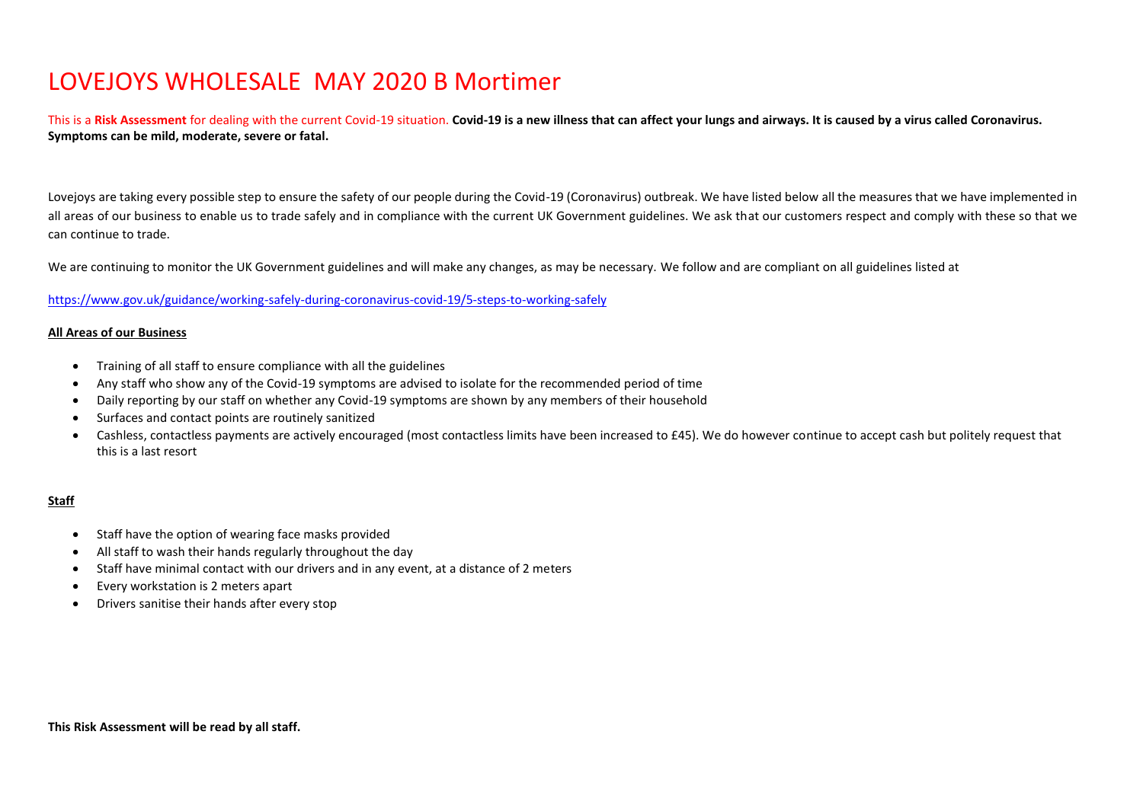## LOVEJOYS WHOLESALE MAY 2020 B Mortimer

This is a **Risk Assessment** for dealing with the current Covid-19 situation. **Covid-19 is a new illness that can affect your lungs and airways. It is caused by a virus called Coronavirus. Symptoms can be mild, moderate, severe or fatal.**

Lovejoys are taking every possible step to ensure the safety of our people during the Covid-19 (Coronavirus) outbreak. We have listed below all the measures that we have implemented in all areas of our business to enable us to trade safely and in compliance with the current UK Government guidelines. We ask that our customers respect and comply with these so that we can continue to trade.

We are continuing to monitor the UK Government guidelines and will make any changes, as may be necessary. We follow and are compliant on all guidelines listed at

## <https://www.gov.uk/guidance/working-safely-during-coronavirus-covid-19/5-steps-to-working-safely>

## **All Areas of our Business**

- Training of all staff to ensure compliance with all the guidelines
- Any staff who show any of the Covid-19 symptoms are advised to isolate for the recommended period of time
- Daily reporting by our staff on whether any Covid-19 symptoms are shown by any members of their household
- Surfaces and contact points are routinely sanitized
- Cashless, contactless payments are actively encouraged (most contactless limits have been increased to £45). We do however continue to accept cash but politely request that this is a last resort

## **Staff**

- Staff have the option of wearing face masks provided
- All staff to wash their hands regularly throughout the day
- Staff have minimal contact with our drivers and in any event, at a distance of 2 meters
- Every workstation is 2 meters apart
- Drivers sanitise their hands after every stop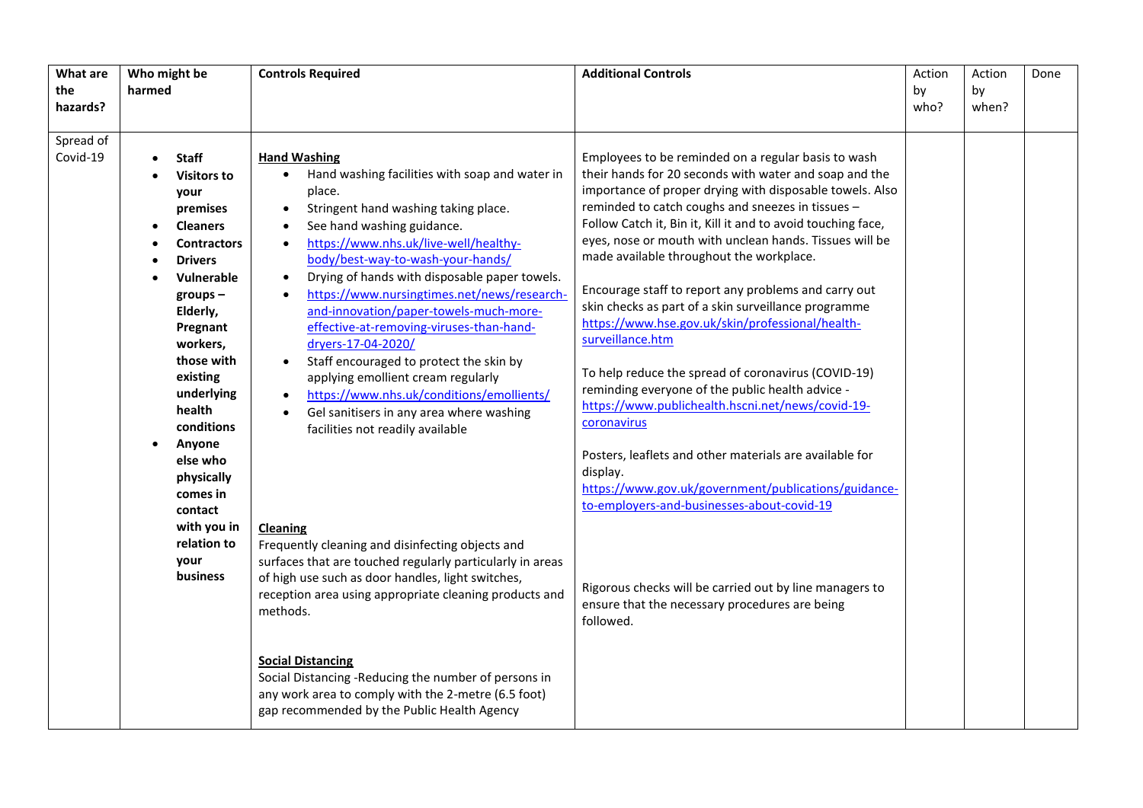| What are<br>the<br>hazards? | Who might be<br>harmed                                                                                                                                                                                                                                                                                                                                                             | <b>Controls Required</b>                                                                                                                                                                                                                                                                                                                                                                                                                                                                                                                                                                                                                                                                                                                                                                                                                                                                                                                                                                                                                                                                                                            | <b>Additional Controls</b>                                                                                                                                                                                                                                                                                                                                                                                                                                                                                                                                                                                                                                                                                                                                                                                                                                                                                                                                                                                                                                                          | Action<br>by<br>who? | Action<br>by<br>when? | Done |
|-----------------------------|------------------------------------------------------------------------------------------------------------------------------------------------------------------------------------------------------------------------------------------------------------------------------------------------------------------------------------------------------------------------------------|-------------------------------------------------------------------------------------------------------------------------------------------------------------------------------------------------------------------------------------------------------------------------------------------------------------------------------------------------------------------------------------------------------------------------------------------------------------------------------------------------------------------------------------------------------------------------------------------------------------------------------------------------------------------------------------------------------------------------------------------------------------------------------------------------------------------------------------------------------------------------------------------------------------------------------------------------------------------------------------------------------------------------------------------------------------------------------------------------------------------------------------|-------------------------------------------------------------------------------------------------------------------------------------------------------------------------------------------------------------------------------------------------------------------------------------------------------------------------------------------------------------------------------------------------------------------------------------------------------------------------------------------------------------------------------------------------------------------------------------------------------------------------------------------------------------------------------------------------------------------------------------------------------------------------------------------------------------------------------------------------------------------------------------------------------------------------------------------------------------------------------------------------------------------------------------------------------------------------------------|----------------------|-----------------------|------|
| Spread of<br>Covid-19       | <b>Staff</b><br><b>Visitors to</b><br>your<br>premises<br><b>Cleaners</b><br>$\bullet$<br><b>Contractors</b><br><b>Drivers</b><br>Vulnerable<br>$groups -$<br>Elderly,<br>Pregnant<br>workers,<br>those with<br>existing<br>underlying<br>health<br>conditions<br>Anyone<br>else who<br>physically<br>comes in<br>contact<br>with you in<br>relation to<br>your<br><b>business</b> | <b>Hand Washing</b><br>Hand washing facilities with soap and water in<br>place.<br>Stringent hand washing taking place.<br>See hand washing guidance.<br>https://www.nhs.uk/live-well/healthy-<br>body/best-way-to-wash-your-hands/<br>Drying of hands with disposable paper towels.<br>https://www.nursingtimes.net/news/research-<br>and-innovation/paper-towels-much-more-<br>effective-at-removing-viruses-than-hand-<br>dryers-17-04-2020/<br>Staff encouraged to protect the skin by<br>$\bullet$<br>applying emollient cream regularly<br>https://www.nhs.uk/conditions/emollients/<br>Gel sanitisers in any area where washing<br>facilities not readily available<br><b>Cleaning</b><br>Frequently cleaning and disinfecting objects and<br>surfaces that are touched regularly particularly in areas<br>of high use such as door handles, light switches,<br>reception area using appropriate cleaning products and<br>methods.<br><b>Social Distancing</b><br>Social Distancing -Reducing the number of persons in<br>any work area to comply with the 2-metre (6.5 foot)<br>gap recommended by the Public Health Agency | Employees to be reminded on a regular basis to wash<br>their hands for 20 seconds with water and soap and the<br>importance of proper drying with disposable towels. Also<br>reminded to catch coughs and sneezes in tissues -<br>Follow Catch it, Bin it, Kill it and to avoid touching face,<br>eyes, nose or mouth with unclean hands. Tissues will be<br>made available throughout the workplace.<br>Encourage staff to report any problems and carry out<br>skin checks as part of a skin surveillance programme<br>https://www.hse.gov.uk/skin/professional/health-<br>surveillance.htm<br>To help reduce the spread of coronavirus (COVID-19)<br>reminding everyone of the public health advice -<br>https://www.publichealth.hscni.net/news/covid-19-<br>coronavirus<br>Posters, leaflets and other materials are available for<br>display.<br>https://www.gov.uk/government/publications/guidance-<br>to-employers-and-businesses-about-covid-19<br>Rigorous checks will be carried out by line managers to<br>ensure that the necessary procedures are being<br>followed. |                      |                       |      |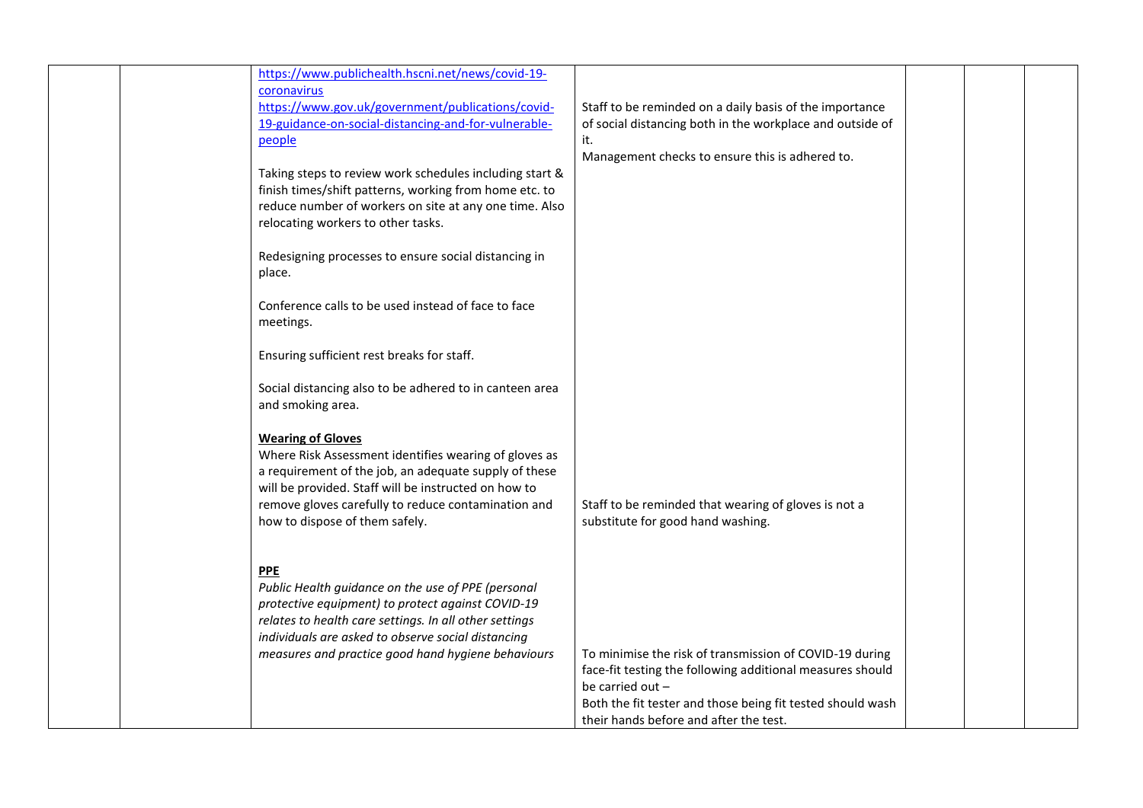| https://www.publichealth.hscni.net/news/covid-19-<br>coronavirus<br>https://www.gov.uk/government/publications/covid-<br>19-guidance-on-social-distancing-and-for-vulnerable-<br>people<br>Taking steps to review work schedules including start &<br>finish times/shift patterns, working from home etc. to<br>reduce number of workers on site at any one time. Also<br>relocating workers to other tasks.<br>Redesigning processes to ensure social distancing in<br>place.<br>Conference calls to be used instead of face to face<br>meetings.<br>Ensuring sufficient rest breaks for staff.<br>Social distancing also to be adhered to in canteen area<br>and smoking area. | Staff to be reminded on a daily basis of the importance<br>of social distancing both in the workplace and outside of<br>it.<br>Management checks to ensure this is adhered to.                                                                   |  |  |
|----------------------------------------------------------------------------------------------------------------------------------------------------------------------------------------------------------------------------------------------------------------------------------------------------------------------------------------------------------------------------------------------------------------------------------------------------------------------------------------------------------------------------------------------------------------------------------------------------------------------------------------------------------------------------------|--------------------------------------------------------------------------------------------------------------------------------------------------------------------------------------------------------------------------------------------------|--|--|
| <b>Wearing of Gloves</b><br>Where Risk Assessment identifies wearing of gloves as<br>a requirement of the job, an adequate supply of these<br>will be provided. Staff will be instructed on how to<br>remove gloves carefully to reduce contamination and<br>how to dispose of them safely.                                                                                                                                                                                                                                                                                                                                                                                      | Staff to be reminded that wearing of gloves is not a<br>substitute for good hand washing.                                                                                                                                                        |  |  |
| <b>PPE</b><br>Public Health guidance on the use of PPE (personal<br>protective equipment) to protect against COVID-19<br>relates to health care settings. In all other settings<br>individuals are asked to observe social distancing<br>measures and practice good hand hygiene behaviours                                                                                                                                                                                                                                                                                                                                                                                      | To minimise the risk of transmission of COVID-19 during<br>face-fit testing the following additional measures should<br>be carried out -<br>Both the fit tester and those being fit tested should wash<br>their hands before and after the test. |  |  |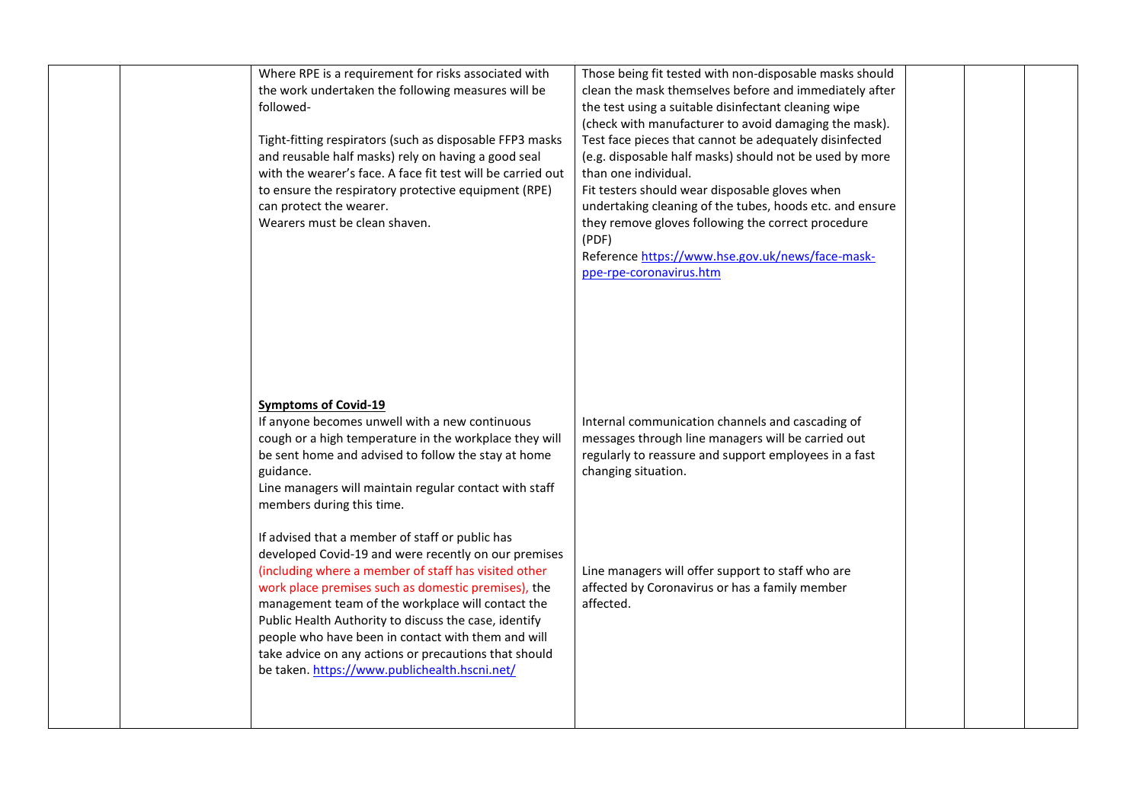| followed-<br>can protect the wearer.<br>Wearers must be clean shaven.<br><b>Symptoms of Covid-19</b> | Where RPE is a requirement for risks associated with<br>the work undertaken the following measures will be<br>Tight-fitting respirators (such as disposable FFP3 masks<br>and reusable half masks) rely on having a good seal<br>with the wearer's face. A face fit test will be carried out<br>to ensure the respiratory protective equipment (RPE)                                                                                                                                                 | Those being fit tested with non-disposable masks should<br>clean the mask themselves before and immediately after<br>the test using a suitable disinfectant cleaning wipe<br>(check with manufacturer to avoid damaging the mask).<br>Test face pieces that cannot be adequately disinfected<br>(e.g. disposable half masks) should not be used by more<br>than one individual.<br>Fit testers should wear disposable gloves when<br>undertaking cleaning of the tubes, hoods etc. and ensure<br>they remove gloves following the correct procedure<br>(PDF)<br>Reference https://www.hse.gov.uk/news/face-mask-<br>ppe-rpe-coronavirus.htm |  |  |
|------------------------------------------------------------------------------------------------------|------------------------------------------------------------------------------------------------------------------------------------------------------------------------------------------------------------------------------------------------------------------------------------------------------------------------------------------------------------------------------------------------------------------------------------------------------------------------------------------------------|---------------------------------------------------------------------------------------------------------------------------------------------------------------------------------------------------------------------------------------------------------------------------------------------------------------------------------------------------------------------------------------------------------------------------------------------------------------------------------------------------------------------------------------------------------------------------------------------------------------------------------------------|--|--|
| guidance.<br>members during this time.                                                               | If anyone becomes unwell with a new continuous<br>cough or a high temperature in the workplace they will<br>be sent home and advised to follow the stay at home<br>Line managers will maintain regular contact with staff                                                                                                                                                                                                                                                                            | Internal communication channels and cascading of<br>messages through line managers will be carried out<br>regularly to reassure and support employees in a fast<br>changing situation.                                                                                                                                                                                                                                                                                                                                                                                                                                                      |  |  |
|                                                                                                      | If advised that a member of staff or public has<br>developed Covid-19 and were recently on our premises<br>(including where a member of staff has visited other<br>work place premises such as domestic premises), the<br>management team of the workplace will contact the<br>Public Health Authority to discuss the case, identify<br>people who have been in contact with them and will<br>take advice on any actions or precautions that should<br>be taken. https://www.publichealth.hscni.net/ | Line managers will offer support to staff who are<br>affected by Coronavirus or has a family member<br>affected.                                                                                                                                                                                                                                                                                                                                                                                                                                                                                                                            |  |  |